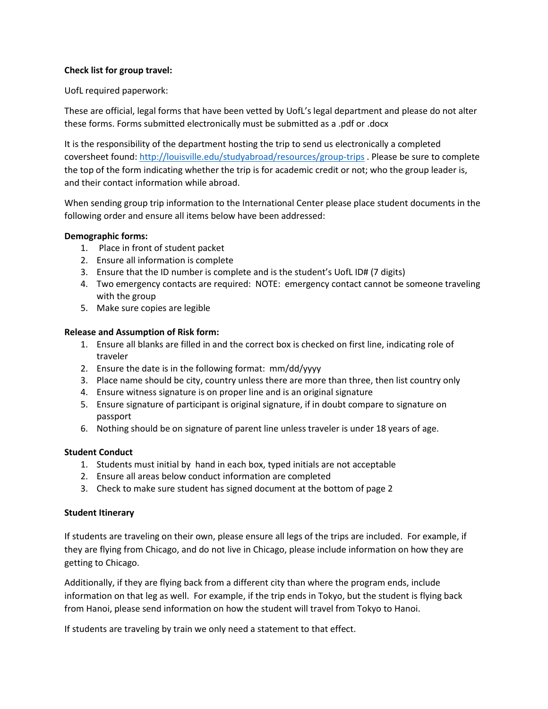### **Check list for group travel:**

UofL required paperwork:

These are official, legal forms that have been vetted by UofL's legal department and please do not alter these forms. Forms submitted electronically must be submitted as a .pdf or .docx

It is the responsibility of the department hosting the trip to send us electronically a completed coversheet found:<http://louisville.edu/studyabroad/resources/group-trips> . Please be sure to complete the top of the form indicating whether the trip is for academic credit or not; who the group leader is, and their contact information while abroad.

When sending group trip information to the International Center please place student documents in the following order and ensure all items below have been addressed:

### **Demographic forms:**

- 1. Place in front of student packet
- 2. Ensure all information is complete
- 3. Ensure that the ID number is complete and is the student's UofL ID# (7 digits)
- 4. Two emergency contacts are required: NOTE: emergency contact cannot be someone traveling with the group
- 5. Make sure copies are legible

# **Release and Assumption of Risk form:**

- 1. Ensure all blanks are filled in and the correct box is checked on first line, indicating role of traveler
- 2. Ensure the date is in the following format: mm/dd/yyyy
- 3. Place name should be city, country unless there are more than three, then list country only
- 4. Ensure witness signature is on proper line and is an original signature
- 5. Ensure signature of participant is original signature, if in doubt compare to signature on passport
- 6. Nothing should be on signature of parent line unless traveler is under 18 years of age.

### **Student Conduct**

- 1. Students must initial by hand in each box, typed initials are not acceptable
- 2. Ensure all areas below conduct information are completed
- 3. Check to make sure student has signed document at the bottom of page 2

### **Student Itinerary**

If students are traveling on their own, please ensure all legs of the trips are included. For example, if they are flying from Chicago, and do not live in Chicago, please include information on how they are getting to Chicago.

Additionally, if they are flying back from a different city than where the program ends, include information on that leg as well. For example, if the trip ends in Tokyo, but the student is flying back from Hanoi, please send information on how the student will travel from Tokyo to Hanoi.

If students are traveling by train we only need a statement to that effect.